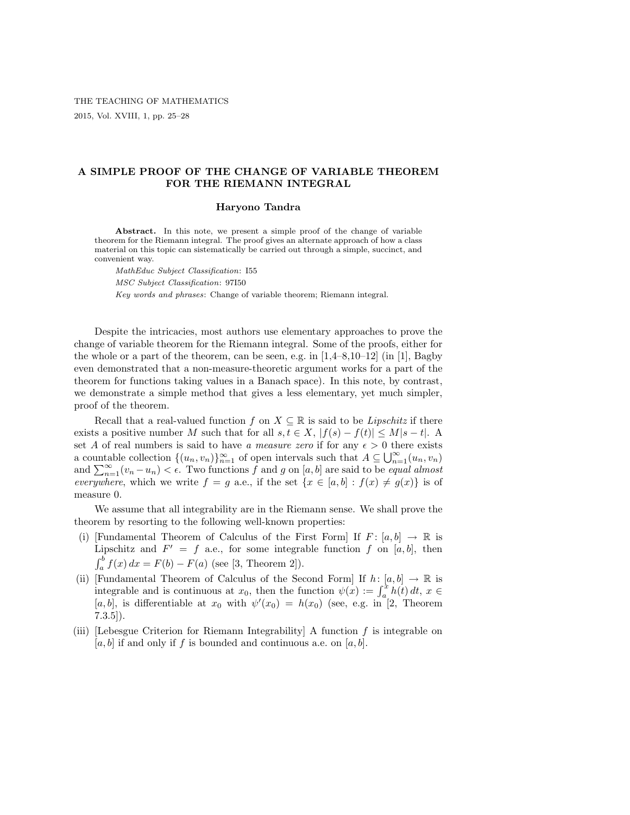## A SIMPLE PROOF OF THE CHANGE OF VARIABLE THEOREM FOR THE RIEMANN INTEGRAL

## Haryono Tandra

Abstract. In this note, we present a simple proof of the change of variable theorem for the Riemann integral. The proof gives an alternate approach of how a class material on this topic can sistematically be carried out through a simple, succinct, and convenient way.

MathEduc Subject Classification: I55 MSC Subject Classification: 97I50

Key words and phrases: Change of variable theorem; Riemann integral.

Despite the intricacies, most authors use elementary approaches to prove the change of variable theorem for the Riemann integral. Some of the proofs, either for the whole or a part of the theorem, can be seen, e.g. in  $[1,4-8,10-12]$  (in [1], Bagby even demonstrated that a non-measure-theoretic argument works for a part of the theorem for functions taking values in a Banach space). In this note, by contrast, we demonstrate a simple method that gives a less elementary, yet much simpler, proof of the theorem.

Recall that a real-valued function f on  $X \subseteq \mathbb{R}$  is said to be Lipschitz if there exists a positive number M such that for all  $s, t \in X$ ,  $|f(s) - f(t)| \leq M|s - t|$ . A set A of real numbers is said to have a measure zero if for any  $\epsilon > 0$  there exists set A of real numbers is said to have a measure zero if for any  $\epsilon > 0$  there exists<br>a countable collection  $\{(u_n, v_n)\}_{n=1}^{\infty}$  of open intervals such that  $A \subseteq \bigcup_{n=1}^{\infty} (u_n, v_n)$ a countable conection  $\{(u_n, v_n)\}_{n=1}^{\infty}$  of open intervals such that  $A \subseteq \bigcup_{n=1}(u_n, v_n)$ <br>and  $\sum_{n=1}^{\infty}(v_n - u_n) < \epsilon$ . Two functions f and g on [a, b] are said to be *equal almost* everywhere, which we write  $f = g$  a.e., if the set  $\{x \in [a, b] : f(x) \neq g(x)\}\$ is of measure 0.

We assume that all integrability are in the Riemann sense. We shall prove the theorem by resorting to the following well-known properties:

- (i) [Fundamental Theorem of Calculus of the First Form] If  $F: [a, b] \rightarrow \mathbb{R}$  is Lipschitz and  $F' = f$  a.e., for some integrable function f on [a, b], then  $\frac{\mathbf{u}_1}{\mathbf{r}^b}$  $\int_{a}^{b} f(x) dx = F(b) - F(a)$  (see [3, Theorem 2]).
- (ii) [Fundamental Theorem of Calculus of the Second Form] If  $h: [a, b] \to \mathbb{R}$  is Fundamental Theorem of Calculus of the Second Form  $\text{If } n: [a, 0] \to \mathbb{R}$  is<br>integrable and is continuous at  $x_0$ , then the function  $\psi(x) := \int_a^x h(t) dt$ ,  $x \in$ [a, b], is differentiable at  $x_0$  with  $\psi'(x_0) = h(x_0)$  (see, e.g. in [2, Theorem  $7.3.5$ ]).
- (iii) [Lebesgue Criterion for Riemann Integrability] A function  $f$  is integrable on  $[a, b]$  if and only if f is bounded and continuous a.e. on  $[a, b]$ .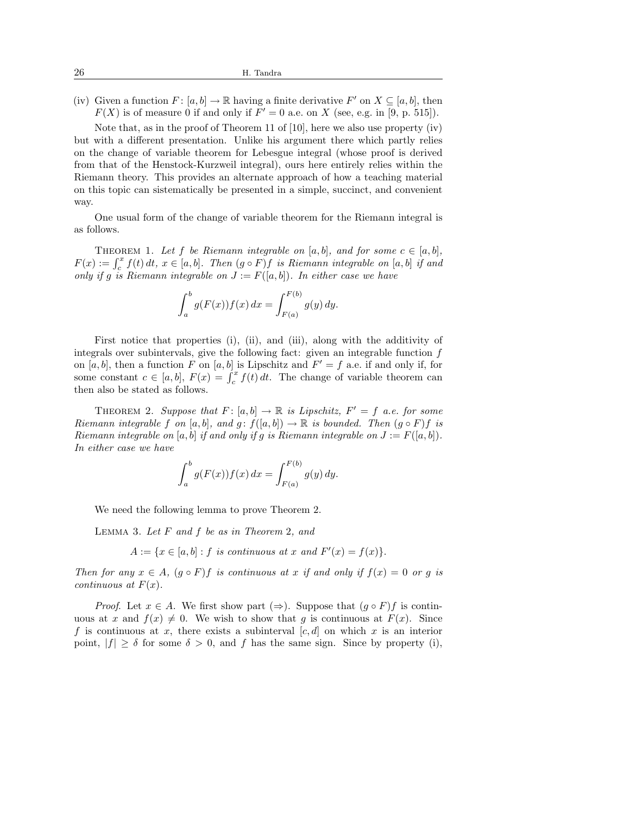(iv) Given a function  $F: [a, b] \to \mathbb{R}$  having a finite derivative  $F'$  on  $X \subseteq [a, b]$ , then  $F(X)$  is of measure 0 if and only if  $F' = 0$  a.e. on X (see, e.g. in [9, p. 515]).

Note that, as in the proof of Theorem 11 of  $[10]$ , here we also use property  $(iv)$ but with a different presentation. Unlike his argument there which partly relies on the change of variable theorem for Lebesgue integral (whose proof is derived from that of the Henstock-Kurzweil integral), ours here entirely relies within the Riemann theory. This provides an alternate approach of how a teaching material on this topic can sistematically be presented in a simple, succinct, and convenient way.

One usual form of the change of variable theorem for the Riemann integral is as follows.

THEOREM 1. Let f be Riemann integrable on [a, b], and for some  $c \in [a, b]$ , F(x) :=  $\int_c^x f(t) dt$ ,  $x \in [a, b]$ . Then  $(g \circ F) f$  is Riemann integrable on  $[a, b]$  if and  $F(x) := \int_c^x f(t) dt$ ,  $x \in [a, b]$ . Then  $(g \circ F) f$  is Riemann integrable on  $[a, b]$  if and only if g is Riemann integrable on  $J := F([a, b])$ . In either case we have

$$
\int_{a}^{b} g(F(x)) f(x) \, dx = \int_{F(a)}^{F(b)} g(y) \, dy.
$$

First notice that properties (i), (ii), and (iii), along with the additivity of integrals over subintervals, give the following fact: given an integrable function f on [a, b], then a function F on [a, b] is Lipschitz and  $F' = f$  a.e. if and only if, for on [a, o], then a function F on [a, o] is Lipschitz and  $F = f$  a.e. if and only if, for some constant  $c \in [a, b]$ ,  $F(x) = \int_c^x f(t) dt$ . The change of variable theorem can then also be stated as follows.

THEOREM 2. Suppose that  $F: [a, b] \to \mathbb{R}$  is Lipschitz,  $F' = f$  a.e. for some Riemann integrable f on [a, b], and  $g: f([a, b]) \to \mathbb{R}$  is bounded. Then  $(g \circ F)f$  is Riemann integrable on [a, b] if and only if g is Riemann integrable on  $J := F([a, b])$ . In either case we have

$$
\int_{a}^{b} g(F(x))f(x) dx = \int_{F(a)}^{F(b)} g(y) dy.
$$

We need the following lemma to prove Theorem 2.

LEMMA 3. Let  $F$  and  $f$  be as in Theorem 2, and

$$
A := \{ x \in [a, b] : f \text{ is continuous at } x \text{ and } F'(x) = f(x) \}.
$$

Then for any  $x \in A$ ,  $(g \circ F)f$  is continuous at x if and only if  $f(x) = 0$  or g is continuous at  $F(x)$ .

*Proof.* Let  $x \in A$ . We first show part  $(\Rightarrow)$ . Suppose that  $(g \circ F)f$  is continuous at x and  $f(x) \neq 0$ . We wish to show that g is continuous at  $F(x)$ . Since f is continuous at x, there exists a subinterval  $[c, d]$  on which x is an interior point,  $|f| \geq \delta$  for some  $\delta > 0$ , and f has the same sign. Since by property (i),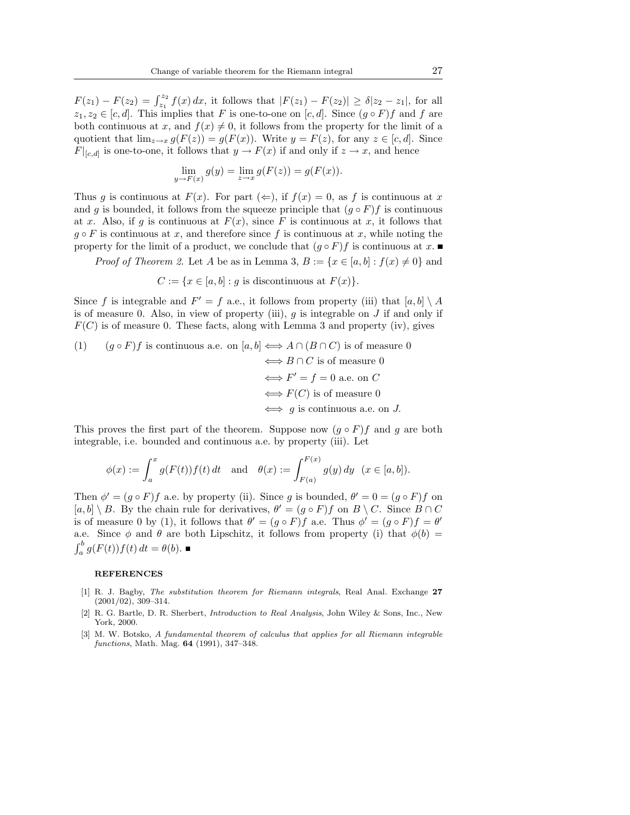$F(z_1) - F(z_2) = \int_{z_1}^{z_2} f(x) dx$ , it follows that  $|F(z_1) - F(z_2)| \ge \delta |z_2 - z_1|$ , for all  $z_1, z_2 \in [c, d]$ . This implies that F is one-to-one on  $[c, d]$ . Since  $(g \circ F)f$  and f are both continuous at x, and  $f(x) \neq 0$ , it follows from the property for the limit of a quotient that  $\lim_{z\to x} g(F(z)) = g(F(x))$ . Write  $y = F(z)$ , for any  $z \in [c, d]$ . Since  $F|_{[c,d]}$  is one-to-one, it follows that  $y \to F(x)$  if and only if  $z \to x$ , and hence

$$
\lim_{y \to F(x)} g(y) = \lim_{z \to x} g(F(z)) = g(F(x)).
$$

Thus g is continuous at  $F(x)$ . For part  $(\Leftarrow)$ , if  $f(x) = 0$ , as f is continuous at x and g is bounded, it follows from the squeeze principle that  $(g \circ F)f$  is continuous at x. Also, if g is continuous at  $F(x)$ , since F is continuous at x, it follows that  $q \circ F$  is continuous at x, and therefore since f is continuous at x, while noting the property for the limit of a product, we conclude that  $(g \circ F)f$  is continuous at x.

*Proof of Theorem 2.* Let A be as in Lemma 3,  $B := \{x \in [a, b] : f(x) \neq 0\}$  and

$$
C := \{ x \in [a, b] : g \text{ is discontinuous at } F(x) \}.
$$

Since f is integrable and  $F' = f$  a.e., it follows from property (iii) that  $[a, b] \setminus A$ is of measure 0. Also, in view of property (iii),  $q$  is integrable on  $J$  if and only if  $F(C)$  is of measure 0. These facts, along with Lemma 3 and property (iv), gives

(1) 
$$
(g \circ F)f
$$
 is continuous a.e. on  $[a, b] \iff A \cap (B \cap C)$  is of measure 0  
\n $\iff B \cap C$  is of measure 0  
\n $\iff F' = f = 0$  a.e. on C  
\n $\iff F(C)$  is of measure 0  
\n $\iff g$  is continuous a.e. on J.

This proves the first part of the theorem. Suppose now  $(g \circ F)f$  and g are both integrable, i.e. bounded and continuous a.e. by property (iii). Let

$$
\phi(x) := \int_a^x g(F(t)) f(t) dt \text{ and } \theta(x) := \int_{F(a)}^{F(x)} g(y) dy \quad (x \in [a, b]).
$$

Then  $\phi' = (g \circ F)f$  a.e. by property (ii). Since g is bounded,  $\theta' = 0 = (g \circ F)f$  on  $[a, b] \setminus B$ . By the chain rule for derivatives,  $\theta' = (g \circ F)f$  on  $B \setminus C$ . Since  $B \cap C$ is of measure 0 by (1), it follows that  $\theta' = (g \circ F)f$  a.e. Thus  $\phi' = (g \circ F)f = \theta'$ a.e. Since  $\phi$  and  $\theta$  are both Lipschitz, it follows from property (i) that  $\phi(b)$  =  $\frac{a}{b}$  $\int_a^b g(F(t))f(t) dt = \theta(b).$ 

## **REFERENCES**

- [1] R. J. Bagby, The substitution theorem for Riemann integrals, Real Anal. Exchange 27  $(2001/02), 309-314.$
- [2] R. G. Bartle, D. R. Sherbert, Introduction to Real Analysis, John Wiley & Sons, Inc., New York, 2000.
- [3] M. W. Botsko, A fundamental theorem of calculus that applies for all Riemann integrable functions, Math. Mag. 64 (1991), 347–348.